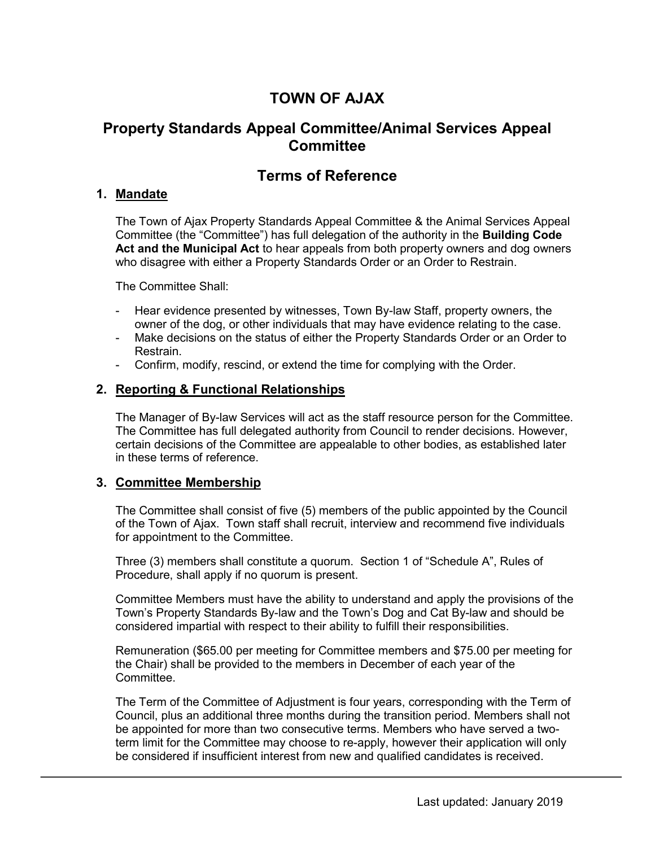# **TOWN OF AJAX**

# **Property Standards Appeal Committee/Animal Services Appeal Committee**

# **Terms of Reference**

# **1. Mandate**

The Town of Ajax Property Standards Appeal Committee & the Animal Services Appeal Committee (the "Committee") has full delegation of the authority in the **Building Code Act and the Municipal Act** to hear appeals from both property owners and dog owners who disagree with either a Property Standards Order or an Order to Restrain.

The Committee Shall:

- Hear evidence presented by witnesses, Town By-law Staff, property owners, the owner of the dog, or other individuals that may have evidence relating to the case.
- Make decisions on the status of either the Property Standards Order or an Order to Restrain.
- Confirm, modify, rescind, or extend the time for complying with the Order.

#### **2. Reporting & Functional Relationships**

The Manager of By-law Services will act as the staff resource person for the Committee. The Committee has full delegated authority from Council to render decisions. However, certain decisions of the Committee are appealable to other bodies, as established later in these terms of reference.

# **3. Committee Membership**

The Committee shall consist of five (5) members of the public appointed by the Council of the Town of Ajax. Town staff shall recruit, interview and recommend five individuals for appointment to the Committee.

Three (3) members shall constitute a quorum. Section 1 of "Schedule A", Rules of Procedure, shall apply if no quorum is present.

Committee Members must have the ability to understand and apply the provisions of the Town's Property Standards By-law and the Town's Dog and Cat By-law and should be considered impartial with respect to their ability to fulfill their responsibilities.

Remuneration (\$65.00 per meeting for Committee members and \$75.00 per meeting for the Chair) shall be provided to the members in December of each year of the Committee.

The Term of the Committee of Adjustment is four years, corresponding with the Term of Council, plus an additional three months during the transition period. Members shall not be appointed for more than two consecutive terms. Members who have served a twoterm limit for the Committee may choose to re-apply, however their application will only be considered if insufficient interest from new and qualified candidates is received.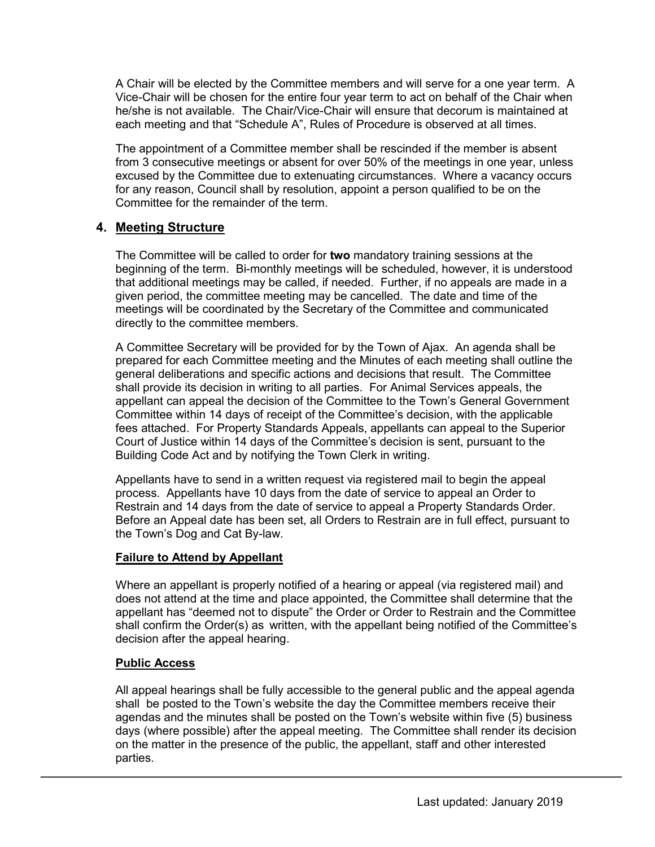A Chair will be elected by the Committee members and will serve for a one year term. A Vice-Chair will be chosen for the entire four year term to act on behalf of the Chair when he/she is not available. The Chair/Vice-Chair will ensure that decorum is maintained at each meeting and that "Schedule A", Rules of Procedure is observed at all times.

The appointment of a Committee member shall be rescinded if the member is absent from 3 consecutive meetings or absent for over 50% of the meetings in one year, unless excused by the Committee due to extenuating circumstances. Where a vacancy occurs for any reason, Council shall by resolution, appoint a person qualified to be on the Committee for the remainder of the term.

# **4. Meeting Structure**

The Committee will be called to order for **two** mandatory training sessions at the beginning of the term. Bi-monthly meetings will be scheduled, however, it is understood that additional meetings may be called, if needed. Further, if no appeals are made in a given period, the committee meeting may be cancelled. The date and time of the meetings will be coordinated by the Secretary of the Committee and communicated directly to the committee members.

A Committee Secretary will be provided for by the Town of Ajax. An agenda shall be prepared for each Committee meeting and the Minutes of each meeting shall outline the general deliberations and specific actions and decisions that result. The Committee shall provide its decision in writing to all parties. For Animal Services appeals, the appellant can appeal the decision of the Committee to the Town's General Government Committee within 14 days of receipt of the Committee's decision, with the applicable fees attached. For Property Standards Appeals, appellants can appeal to the Superior Court of Justice within 14 days of the Committee's decision is sent, pursuant to the Building Code Act and by notifying the Town Clerk in writing.

Appellants have to send in a written request via registered mail to begin the appeal process. Appellants have 10 days from the date of service to appeal an Order to Restrain and 14 days from the date of service to appeal a Property Standards Order. Before an Appeal date has been set, all Orders to Restrain are in full effect, pursuant to the Town's Dog and Cat By-law.

#### **Failure to Attend by Appellant**

Where an appellant is properly notified of a hearing or appeal (via registered mail) and does not attend at the time and place appointed, the Committee shall determine that the appellant has "deemed not to dispute" the Order or Order to Restrain and the Committee shall confirm the Order(s) as written, with the appellant being notified of the Committee's decision after the appeal hearing.

#### **Public Access**

All appeal hearings shall be fully accessible to the general public and the appeal agenda shall be posted to the Town's website the day the Committee members receive their agendas and the minutes shall be posted on the Town's website within five (5) business days (where possible) after the appeal meeting. The Committee shall render its decision on the matter in the presence of the public, the appellant, staff and other interested parties.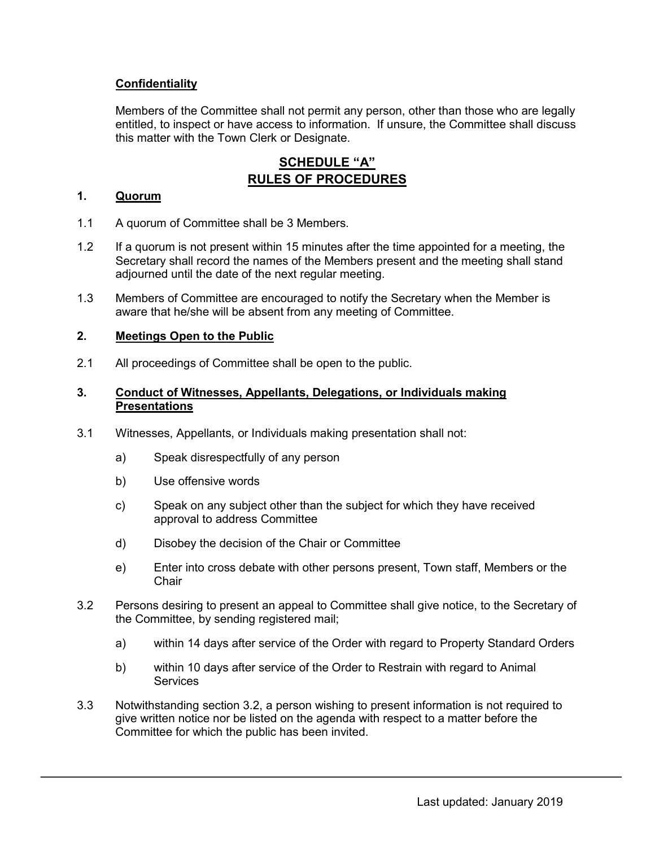# **Confidentiality**

Members of the Committee shall not permit any person, other than those who are legally entitled, to inspect or have access to information. If unsure, the Committee shall discuss this matter with the Town Clerk or Designate.

# **SCHEDULE "A" RULES OF PROCEDURES**

#### **1. Quorum**

- 1.1 A quorum of Committee shall be 3 Members.
- 1.2 If a quorum is not present within 15 minutes after the time appointed for a meeting, the Secretary shall record the names of the Members present and the meeting shall stand adjourned until the date of the next regular meeting.
- 1.3 Members of Committee are encouraged to notify the Secretary when the Member is aware that he/she will be absent from any meeting of Committee.

#### **2. Meetings Open to the Public**

2.1 All proceedings of Committee shall be open to the public.

#### **3. Conduct of Witnesses, Appellants, Delegations, or Individuals making Presentations**

- 3.1 Witnesses, Appellants, or Individuals making presentation shall not:
	- a) Speak disrespectfully of any person
	- b) Use offensive words
	- c) Speak on any subject other than the subject for which they have received approval to address Committee
	- d) Disobey the decision of the Chair or Committee
	- e) Enter into cross debate with other persons present, Town staff, Members or the **Chair**
- 3.2 Persons desiring to present an appeal to Committee shall give notice, to the Secretary of the Committee, by sending registered mail;
	- a) within 14 days after service of the Order with regard to Property Standard Orders
	- b) within 10 days after service of the Order to Restrain with regard to Animal **Services**
- 3.3 Notwithstanding section 3.2, a person wishing to present information is not required to give written notice nor be listed on the agenda with respect to a matter before the Committee for which the public has been invited.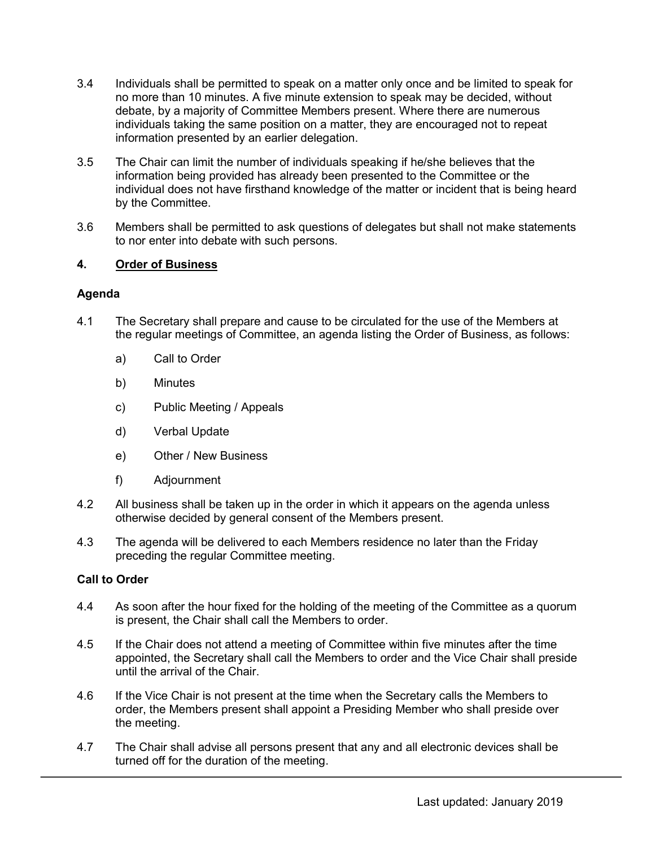- 3.4 Individuals shall be permitted to speak on a matter only once and be limited to speak for no more than 10 minutes. A five minute extension to speak may be decided, without debate, by a majority of Committee Members present. Where there are numerous individuals taking the same position on a matter, they are encouraged not to repeat information presented by an earlier delegation.
- 3.5 The Chair can limit the number of individuals speaking if he/she believes that the information being provided has already been presented to the Committee or the individual does not have firsthand knowledge of the matter or incident that is being heard by the Committee.
- 3.6 Members shall be permitted to ask questions of delegates but shall not make statements to nor enter into debate with such persons.

### **4. Order of Business**

#### **Agenda**

- 4.1 The Secretary shall prepare and cause to be circulated for the use of the Members at the regular meetings of Committee, an agenda listing the Order of Business, as follows:
	- a) Call to Order
	- b) Minutes
	- c) Public Meeting / Appeals
	- d) Verbal Update
	- e) Other / New Business
	- f) Adjournment
- 4.2 All business shall be taken up in the order in which it appears on the agenda unless otherwise decided by general consent of the Members present.
- 4.3 The agenda will be delivered to each Members residence no later than the Friday preceding the regular Committee meeting.

#### **Call to Order**

- 4.4 As soon after the hour fixed for the holding of the meeting of the Committee as a quorum is present, the Chair shall call the Members to order.
- 4.5 If the Chair does not attend a meeting of Committee within five minutes after the time appointed, the Secretary shall call the Members to order and the Vice Chair shall preside until the arrival of the Chair.
- 4.6 If the Vice Chair is not present at the time when the Secretary calls the Members to order, the Members present shall appoint a Presiding Member who shall preside over the meeting.
- 4.7 The Chair shall advise all persons present that any and all electronic devices shall be turned off for the duration of the meeting.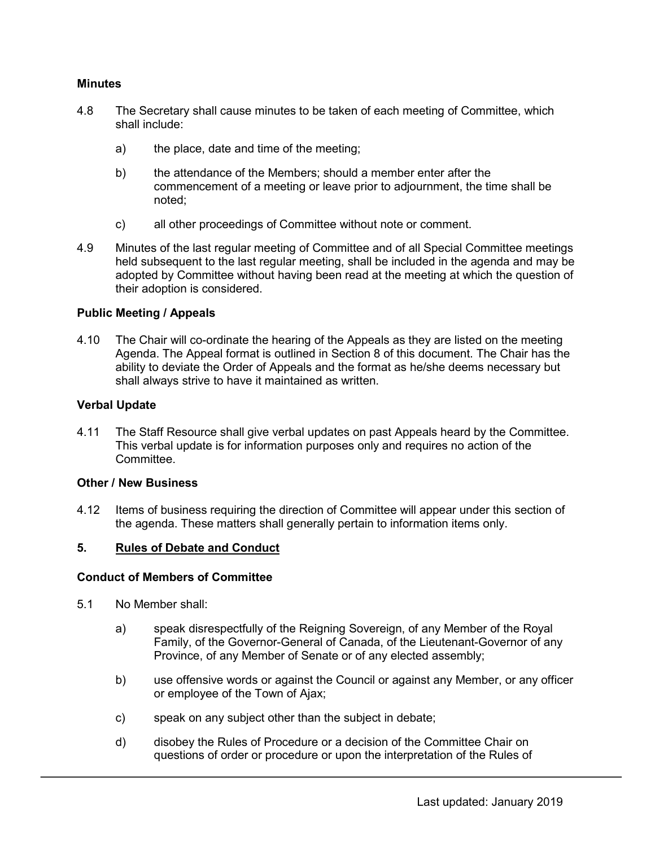#### **Minutes**

- 4.8 The Secretary shall cause minutes to be taken of each meeting of Committee, which shall include:
	- a) the place, date and time of the meeting;
	- b) the attendance of the Members; should a member enter after the commencement of a meeting or leave prior to adjournment, the time shall be noted;
	- c) all other proceedings of Committee without note or comment.
- 4.9 Minutes of the last regular meeting of Committee and of all Special Committee meetings held subsequent to the last regular meeting, shall be included in the agenda and may be adopted by Committee without having been read at the meeting at which the question of their adoption is considered.

#### **Public Meeting / Appeals**

4.10 The Chair will co-ordinate the hearing of the Appeals as they are listed on the meeting Agenda. The Appeal format is outlined in Section 8 of this document. The Chair has the ability to deviate the Order of Appeals and the format as he/she deems necessary but shall always strive to have it maintained as written.

#### **Verbal Update**

4.11 The Staff Resource shall give verbal updates on past Appeals heard by the Committee. This verbal update is for information purposes only and requires no action of the **Committee** 

#### **Other / New Business**

4.12 Items of business requiring the direction of Committee will appear under this section of the agenda. These matters shall generally pertain to information items only.

#### **5. Rules of Debate and Conduct**

#### **Conduct of Members of Committee**

- 5.1 No Member shall:
	- a) speak disrespectfully of the Reigning Sovereign, of any Member of the Royal Family, of the Governor-General of Canada, of the Lieutenant-Governor of any Province, of any Member of Senate or of any elected assembly;
	- b) use offensive words or against the Council or against any Member, or any officer or employee of the Town of Ajax;
	- c) speak on any subject other than the subject in debate;
	- d) disobey the Rules of Procedure or a decision of the Committee Chair on questions of order or procedure or upon the interpretation of the Rules of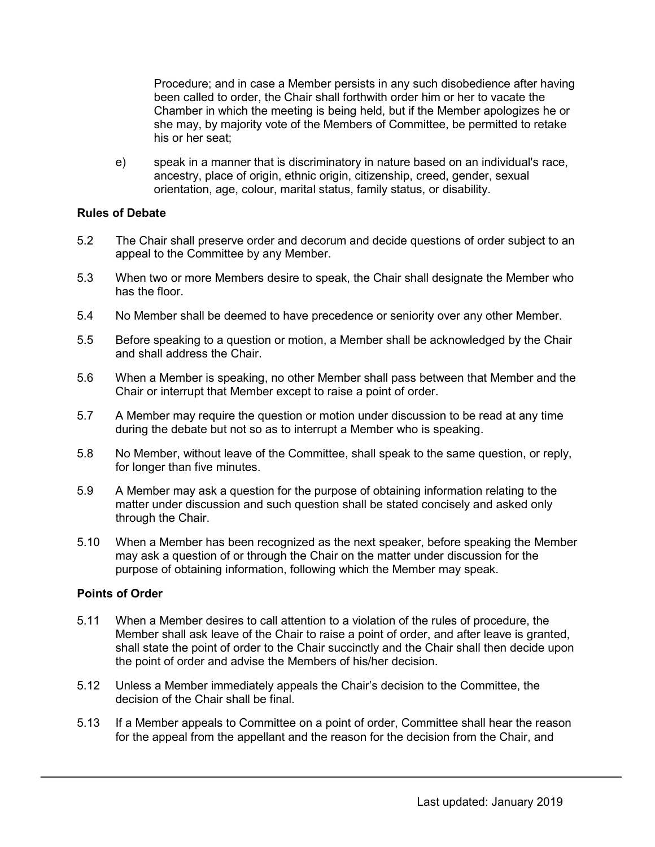Procedure; and in case a Member persists in any such disobedience after having been called to order, the Chair shall forthwith order him or her to vacate the Chamber in which the meeting is being held, but if the Member apologizes he or she may, by majority vote of the Members of Committee, be permitted to retake his or her seat;

e) speak in a manner that is discriminatory in nature based on an individual's race, ancestry, place of origin, ethnic origin, citizenship, creed, gender, sexual orientation, age, colour, marital status, family status, or disability.

#### **Rules of Debate**

- 5.2 The Chair shall preserve order and decorum and decide questions of order subject to an appeal to the Committee by any Member.
- 5.3 When two or more Members desire to speak, the Chair shall designate the Member who has the floor.
- 5.4 No Member shall be deemed to have precedence or seniority over any other Member.
- 5.5 Before speaking to a question or motion, a Member shall be acknowledged by the Chair and shall address the Chair.
- 5.6 When a Member is speaking, no other Member shall pass between that Member and the Chair or interrupt that Member except to raise a point of order.
- 5.7 A Member may require the question or motion under discussion to be read at any time during the debate but not so as to interrupt a Member who is speaking.
- 5.8 No Member, without leave of the Committee, shall speak to the same question, or reply, for longer than five minutes.
- 5.9 A Member may ask a question for the purpose of obtaining information relating to the matter under discussion and such question shall be stated concisely and asked only through the Chair.
- 5.10 When a Member has been recognized as the next speaker, before speaking the Member may ask a question of or through the Chair on the matter under discussion for the purpose of obtaining information, following which the Member may speak.

#### **Points of Order**

- 5.11 When a Member desires to call attention to a violation of the rules of procedure, the Member shall ask leave of the Chair to raise a point of order, and after leave is granted, shall state the point of order to the Chair succinctly and the Chair shall then decide upon the point of order and advise the Members of his/her decision.
- 5.12 Unless a Member immediately appeals the Chair's decision to the Committee, the decision of the Chair shall be final.
- 5.13 If a Member appeals to Committee on a point of order, Committee shall hear the reason for the appeal from the appellant and the reason for the decision from the Chair, and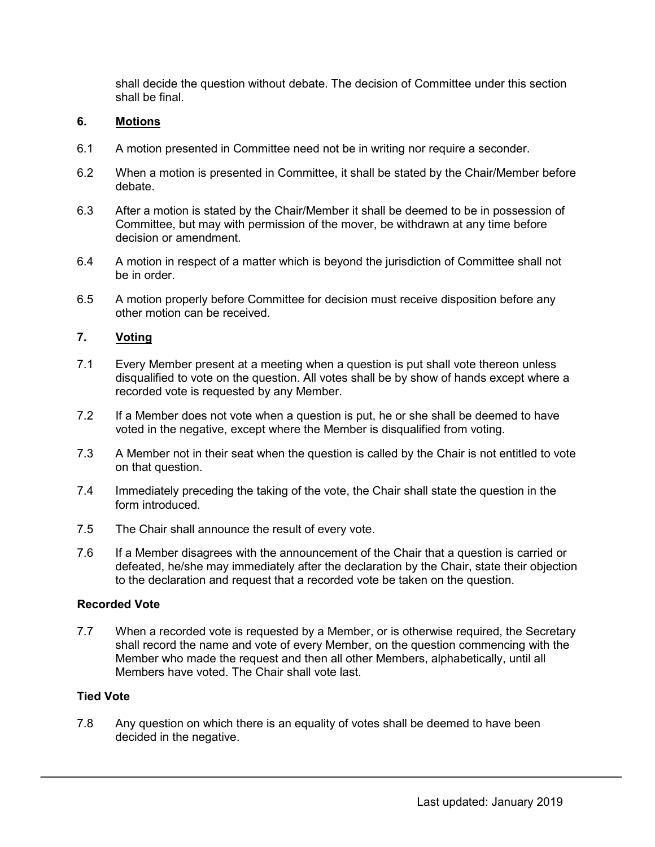shall decide the question without debate. The decision of Committee under this section shall be final.

#### **6. Motions**

- 6.1 A motion presented in Committee need not be in writing nor require a seconder.
- 6.2 When a motion is presented in Committee, it shall be stated by the Chair/Member before debate.
- 6.3 After a motion is stated by the Chair/Member it shall be deemed to be in possession of Committee, but may with permission of the mover, be withdrawn at any time before decision or amendment.
- 6.4 A motion in respect of a matter which is beyond the jurisdiction of Committee shall not be in order.
- 6.5 A motion properly before Committee for decision must receive disposition before any other motion can be received.

#### **7. Voting**

- 7.1 Every Member present at a meeting when a question is put shall vote thereon unless disqualified to vote on the question. All votes shall be by show of hands except where a recorded vote is requested by any Member.
- 7.2 If a Member does not vote when a question is put, he or she shall be deemed to have voted in the negative, except where the Member is disqualified from voting.
- 7.3 A Member not in their seat when the question is called by the Chair is not entitled to vote on that question.
- 7.4 Immediately preceding the taking of the vote, the Chair shall state the question in the form introduced.
- 7.5 The Chair shall announce the result of every vote.
- 7.6 If a Member disagrees with the announcement of the Chair that a question is carried or defeated, he/she may immediately after the declaration by the Chair, state their objection to the declaration and request that a recorded vote be taken on the question.

#### **Recorded Vote**

7.7 When a recorded vote is requested by a Member, or is otherwise required, the Secretary shall record the name and vote of every Member, on the question commencing with the Member who made the request and then all other Members, alphabetically, until all Members have voted. The Chair shall vote last.

#### **Tied Vote**

7.8 Any question on which there is an equality of votes shall be deemed to have been decided in the negative.